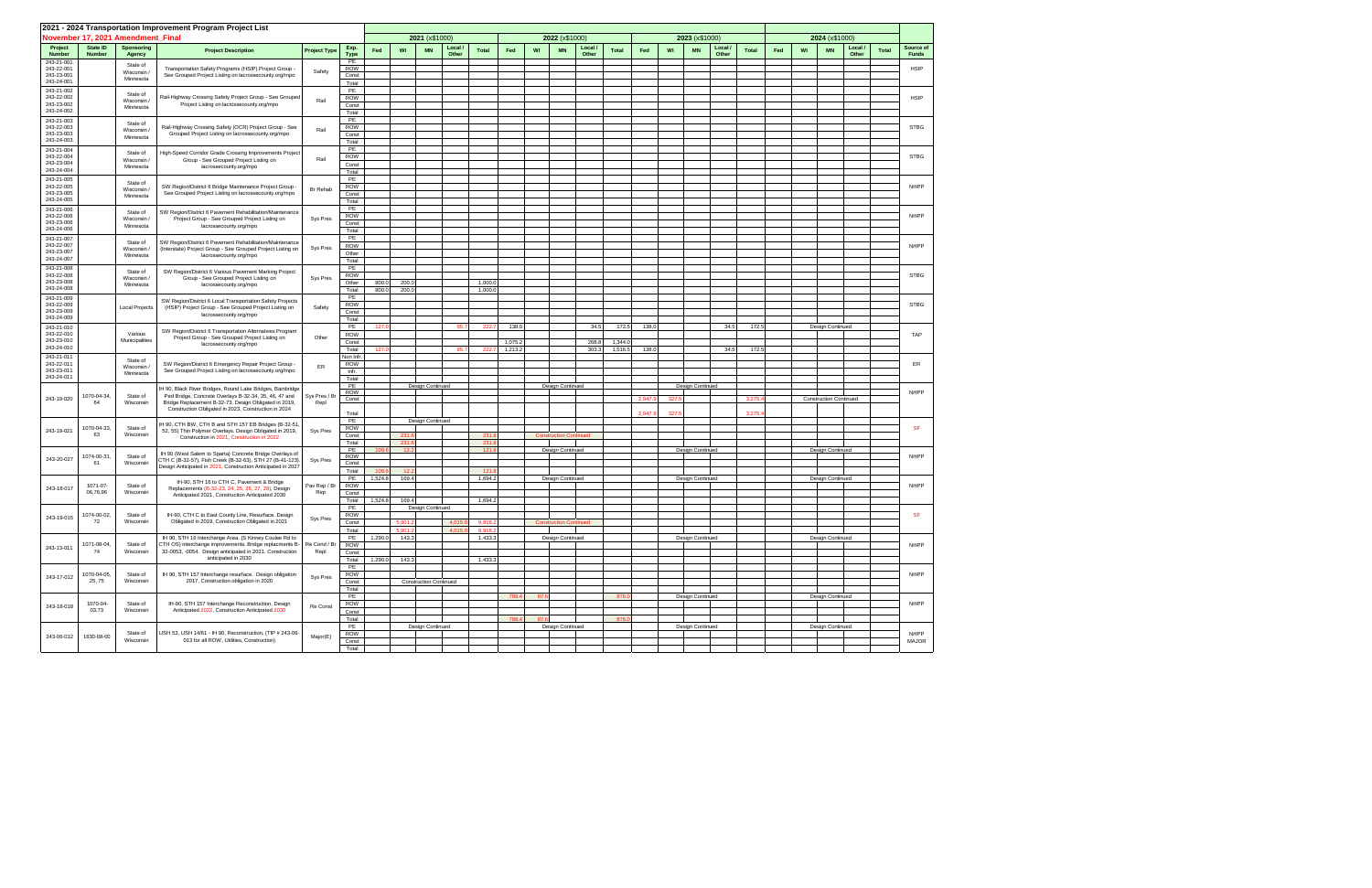|                          |                           |                                   | 2021 - 2024 Transportation Improvement Program Project List                                                           |                     |                        |         |               |                               |                |              |         |      |                               |                  |              |         |       |                  |                |              |     |    |                               |                |              |                           |  |
|--------------------------|---------------------------|-----------------------------------|-----------------------------------------------------------------------------------------------------------------------|---------------------|------------------------|---------|---------------|-------------------------------|----------------|--------------|---------|------|-------------------------------|------------------|--------------|---------|-------|------------------|----------------|--------------|-----|----|-------------------------------|----------------|--------------|---------------------------|--|
|                          |                           | November 17, 2021 Amendment Final |                                                                                                                       |                     |                        |         |               | 2021 (x\$1000)                |                |              |         |      | 2022 (x\$1000)                |                  |              |         |       | 2023 (x\$1000)   |                |              |     |    | 2024 (x\$1000)                |                |              |                           |  |
| Project<br><b>Number</b> | State ID<br><b>Number</b> | Sponsoring<br>Agency              | <b>Project Description</b>                                                                                            | <b>Project Type</b> | Exp.<br><b>Type</b>    | Fed     | WI            | <b>MN</b>                     | Local<br>Other | <b>Total</b> | Fed     | WI   | <b>MN</b>                     | Local /<br>Other | <b>Total</b> | Fed     | WI    | <b>MN</b>        | Local<br>Other | <b>Total</b> | Fed | WI | <b>MN</b>                     | Local<br>Other | <b>Total</b> | Source of<br><b>Funds</b> |  |
| 243-21-001<br>243-22-001 |                           | State of                          | Transportation Safety Programs (HSIP) Project Group -                                                                 |                     | PE<br><b>ROW</b>       |         |               |                               |                |              |         |      |                               |                  |              |         |       |                  |                |              |     |    |                               |                |              | <b>HSIP</b>               |  |
| 243-23-001<br>243-24-001 |                           | Wisconsin<br>Minnesota            | See Grouped Project Listing on lacrossecounty.org/mpo                                                                 | Safety              | Const                  |         |               |                               |                |              |         |      |                               |                  |              |         |       |                  |                |              |     |    |                               |                |              |                           |  |
| 243-21-002               |                           | State of                          |                                                                                                                       |                     | Total<br>PE            |         |               |                               |                |              |         |      |                               |                  |              |         |       |                  |                |              |     |    |                               |                |              |                           |  |
| 243-22-002<br>243-23-002 |                           | Wisconsin/                        | Rail-Highway Crossing Safety Project Group - See Grouped<br>Project Listing on lacrossecounty.org/mpo                 | Rail                | <b>ROW</b><br>Const    |         |               |                               |                |              |         |      |                               |                  |              |         |       |                  |                |              |     |    |                               |                |              | <b>HSIP</b>               |  |
| 243-24-002               |                           | Minnesota                         |                                                                                                                       |                     | Total                  |         |               |                               |                |              |         |      |                               |                  |              |         |       |                  |                |              |     |    |                               |                |              |                           |  |
| 243-21-003<br>243-22-003 |                           | State of                          | Rail-Highway Crossing Safety (OCR) Project Group - See                                                                |                     | PE<br><b>ROW</b>       |         |               |                               |                |              |         |      |                               |                  |              |         |       |                  |                |              |     |    |                               |                |              | <b>STBG</b>               |  |
| 243-23-003<br>243-24-003 |                           | Wisconsin<br>Minnesota            | Grouped Project Listing on lacrossecounty.org/mpo                                                                     | Rail                | Const                  |         |               |                               |                |              |         |      |                               |                  |              |         |       |                  |                |              |     |    |                               |                |              |                           |  |
| 243-21-004               |                           | State of                          |                                                                                                                       |                     | Total<br>PE            |         |               |                               |                |              |         |      |                               |                  |              |         |       |                  |                |              |     |    |                               |                |              |                           |  |
| 243-22-004<br>243-23-004 |                           | Wisconsin/                        | High-Speed Corridor Grade Crossing Improvements Project<br>Group - See Grouped Project Listing on                     | Rail                | <b>ROW</b><br>Const    |         |               |                               |                |              |         |      |                               |                  |              |         |       |                  |                |              |     |    |                               |                |              | <b>STBG</b>               |  |
| 243-24-004               |                           | Minnesota                         | lacrossecounty.org/mpo                                                                                                |                     | Total                  |         |               |                               |                |              |         |      |                               |                  |              |         |       |                  |                |              |     |    |                               |                |              |                           |  |
| 243-21-005<br>243-22-005 |                           | State of                          | SW Region/District 6 Bridge Maintenance Project Group -                                                               |                     | PE<br><b>ROW</b>       |         |               |                               |                |              |         |      |                               |                  |              |         |       |                  |                |              |     |    |                               |                |              | NHPP                      |  |
| 243-23-005<br>243-24-005 |                           | Wisconsin<br>Minnesota            | See Grouped Project Listing on lacrossecounty.org/mpo                                                                 | Br Rehab            | Const                  |         |               |                               |                |              |         |      |                               |                  |              |         |       |                  |                |              |     |    |                               |                |              |                           |  |
| 243-21-006               |                           |                                   |                                                                                                                       |                     | Total<br>PE            |         |               |                               |                |              |         |      |                               |                  |              |         |       |                  |                |              |     |    |                               |                |              |                           |  |
| 243-22-006<br>243-23-006 |                           | State of<br>Wisconsin /           | SW Region/District 6 Pavement Rehabilitation/Maintenance<br>Project Group - See Grouped Project Listing on            | Sys Pres            | <b>ROW</b><br>Const    |         |               |                               |                |              |         |      |                               |                  |              |         |       |                  |                |              |     |    |                               |                |              | NHPP                      |  |
| 243-24-006               |                           | Minnesota                         | lacrossecounty.org/mpo                                                                                                |                     | Total                  |         |               |                               |                |              |         |      |                               |                  |              |         |       |                  |                |              |     |    |                               |                |              |                           |  |
| 243-21-007<br>243-22-007 |                           | State of                          | SW Region/District 6 Pavement Rehabilitation/Maintenance                                                              |                     | PE<br><b>ROW</b>       |         |               |                               |                |              |         |      |                               |                  |              |         |       |                  |                |              |     |    |                               |                |              | NHPP                      |  |
| 243-23-007<br>243-24-007 |                           | Wisconsin/<br>Minnesota           | (Interstate) Project Group - See Grouped Project Listing on<br>lacrossecounty.org/mpo                                 | Sys Pres            | Other                  |         |               |                               |                |              |         |      |                               |                  |              |         |       |                  |                |              |     |    |                               |                |              |                           |  |
| 243-21-008               |                           |                                   |                                                                                                                       |                     | Total<br>PE            |         |               |                               |                |              |         |      |                               |                  |              |         |       |                  |                |              |     |    |                               |                |              |                           |  |
| 243-22-008<br>243-23-008 |                           | State of<br>Wisconsin             | SW Region/District 6 Various Pavement Marking Project<br>Group - See Grouped Project Listing on                       | Sys Pres            | <b>ROW</b><br>Other    | 800.0   | 200.0         |                               |                | 1,000.       |         |      |                               |                  |              |         |       |                  |                |              |     |    |                               |                |              | <b>STBG</b>               |  |
| 243-24-008               |                           | Minnesota                         | lacrossecounty.org/mpo                                                                                                |                     | Total                  | 800.0   | 200.0         |                               |                | 1,000.0      |         |      |                               |                  |              |         |       |                  |                |              |     |    |                               |                |              |                           |  |
| 243-21-009<br>243-22-009 |                           |                                   | SW Region/District 6 Local Transportation Safety Projects                                                             |                     | PE<br><b>ROW</b>       |         |               |                               |                |              |         |      |                               |                  |              |         |       |                  |                |              |     |    |                               |                |              | <b>STBG</b>               |  |
| 243-23-009<br>243-24-009 |                           | Local Projects                    | (HSIP) Project Group - See Grouped Project Listing on<br>lacrossecounty.org/mpo                                       | Safety              | Const                  |         |               |                               |                |              |         |      |                               |                  |              |         |       |                  |                |              |     |    |                               |                |              |                           |  |
| 243-21-010               |                           |                                   |                                                                                                                       |                     | Total<br>PE            | 127.    |               |                               | 95.7           | 222          | 138.0   |      |                               | 34.5             | 172.5        | 138.0   |       |                  | 34.5           | 172.         |     |    | Design Continued              |                |              |                           |  |
| 243-22-010<br>243-23-010 |                           | Various<br>Municipalities         | SW Region/District 6 Transportation Alternatives Program<br>Project Group - See Grouped Project Listing on            | Other               | <b>ROW</b><br>Const    |         |               |                               |                |              | 1,075.2 |      |                               | 268.8            | 1,344.       |         |       |                  |                |              |     |    |                               |                |              | TAP                       |  |
| 243-24-010               |                           |                                   | lacrossecounty.org/mpo                                                                                                |                     | Total                  | 127.0   |               |                               | 95.            | 222          | 1,213.2 |      |                               | 303.3            | 1,516.5      | 138.0   |       |                  | 34.5           | 172.         |     |    |                               |                |              |                           |  |
| 243-21-011<br>243-22-011 |                           | State of                          | SW Region/District 6 Emergency Repair Project Group                                                                   | ER                  | Non Infr<br><b>ROW</b> |         |               |                               |                |              |         |      |                               |                  |              |         |       |                  |                |              |     |    |                               |                |              | ER                        |  |
| 243-23-011<br>243-24-011 |                           | Wisconsin/<br>Minnesota           | See Grouped Project Listing on lacrossecounty.org/mpo                                                                 |                     | Infr.<br>Total         |         |               |                               |                |              |         |      |                               |                  |              |         |       |                  |                |              |     |    |                               |                |              |                           |  |
|                          |                           |                                   | IH 90, Black River Bridges, Round Lake Bridges, Bainbridge                                                            |                     | PE                     |         |               | Design Continued              |                |              |         |      | Design Continued              |                  |              |         |       | Design Continued |                |              |     |    |                               |                |              |                           |  |
| 243-19-020               | 1070-04-34,<br>64         | State of                          | Ped Bridge, Concrete Overlays B-32-34, 35, 46, 47 and                                                                 | Sys Pres / Br       | ROW<br>Const           |         |               |                               |                |              |         |      |                               |                  |              | 2,947.9 | 327.  |                  |                | 3,275.       |     |    | <b>Construction Continued</b> |                |              | <b>NHPP</b>               |  |
|                          |                           | Wisconsin                         | Bridge Replacement B-32-73. Design Obligated in 2019,<br>Construction Obligated in 2023, Construction in 2024         | Repl                | Total                  |         |               |                               |                |              |         |      |                               |                  |              | 2.947.9 | 327.5 |                  |                | 3.275        |     |    |                               |                |              |                           |  |
|                          |                           |                                   | H 90, CTH BW, CTH B and STH 157 EB Bridges (B-32-51                                                                   |                     | PE                     |         |               | <b>Design Continued</b>       |                |              |         |      |                               |                  |              |         |       |                  |                |              |     |    |                               |                |              |                           |  |
| 243-19-021               | 1070-04-33,<br>63         | State of<br>Wisconsin             | 52, 55) Thin Polymer Overlays. Design Obligated in 2019,<br>Construction in 2021, Construction in 2022                | Sys Pres            | <b>ROW</b><br>Const    |         | 231.8         |                               |                | 231.         |         |      | <b>Construction Continued</b> |                  |              |         |       |                  |                |              |     |    |                               |                |              | <b>SF</b>                 |  |
|                          |                           |                                   |                                                                                                                       |                     | Total<br>PE            | 109.6   | 231.8<br>12.2 |                               |                | 231.<br>121. |         |      | Design Continued              |                  |              |         |       | Design Continued |                |              |     |    | Design Continued              |                |              |                           |  |
| 243-20-027               | 1074-00-31                | State of                          | IH 90 (West Salem to Sparta) Concrete Bridge Overlays of<br>CTH C (B-32-57), Fish Creek (B-32-63), STH 27 (B-41-123). | Sys Pres            | <b>ROW</b>             |         |               |                               |                |              |         |      |                               |                  |              |         |       |                  |                |              |     |    |                               |                |              | <b>NHPP</b>               |  |
|                          | 61                        | Wisconsin                         | Design Anticipated in 2021, Construction Anticipated in 2027                                                          |                     | Const<br>Total         | 109.    | 12.2          |                               |                | 121          |         |      |                               |                  |              |         |       |                  |                |              |     |    |                               |                |              |                           |  |
|                          | 1071-07-                  | State of                          | IH-90, STH 16 to CTH C, Pavement & Bridge                                                                             | Pav Rep / Br        | PE<br><b>ROW</b>       | 1,524.8 | 169.4         |                               |                | 1,694.2      |         |      | Design Continued              |                  |              |         |       | Design Continued |                |              |     |    | Design Continued              |                |              | NHPP                      |  |
| 243-18-017               | 06,76,96                  | Wisconsin                         | Replacements (B-32-23, 24, 25, 26, 27, 28), Design<br>Anticipated 2021, Construction Anticipated 2030                 | Rep                 | Const                  |         |               |                               |                |              |         |      |                               |                  |              |         |       |                  |                |              |     |    |                               |                |              |                           |  |
|                          |                           |                                   |                                                                                                                       |                     | Total<br>PE            | 1,524.8 | 169.4         | Design Continued              |                | 1,694.2      |         |      |                               |                  |              |         |       |                  |                |              |     |    |                               |                |              |                           |  |
| 243-19-015               | 1074-00-02,<br>72         | State of<br>Wisconsin             | IH-90, CTH C to East County Line, Resurface. Design<br>Obligated in 2019, Construction Obligated in 2021              | Sys Pres            | <b>ROW</b>             |         |               |                               |                |              |         |      |                               |                  |              |         |       |                  |                |              |     |    |                               |                |              | <b>SF</b>                 |  |
|                          |                           |                                   |                                                                                                                       |                     | Const<br>Total         |         | 5,901.2       |                               | 4,015.0        | 9,916        |         |      |                               |                  |              |         |       |                  |                |              |     |    |                               |                |              |                           |  |
|                          | 1071-08-04,               | State of                          | IH 90, STH 16 Interchange Area. (S Kinney Coulee Rd to<br>CTH OS) interchange improvements. Bridge replacments B-     | Re Cond / Br        | PE<br>ROW              | 1,290.0 | 143.3         |                               |                | 1,433.3      |         |      | Design Continued              |                  |              |         |       | Design Continued |                |              |     |    | Design Continued              |                |              | NHPP                      |  |
| 243-13-011               | 74                        | Wisconsin                         | 32-0053, -0054. Design anticipated in 2021. Construction<br>anticipated in 2030                                       | Repl                | Const                  |         |               |                               |                |              |         |      |                               |                  |              |         |       |                  |                |              |     |    |                               |                |              |                           |  |
|                          |                           |                                   |                                                                                                                       |                     | Total<br>PE            | 1,290.0 | 143.3         |                               |                | 1,433.3      |         |      |                               |                  |              |         |       |                  |                |              |     |    |                               |                |              |                           |  |
| 243-17-012               | 1070-04-05,<br>25, 75     | State of<br>Wisconsin             | IH 90, STH 157 Interchange resurface. Design obligation<br>2017, Construction obligation in 2020                      | Sys Pres            | <b>ROW</b><br>Const    |         |               | <b>Construction Continued</b> |                |              |         |      |                               |                  |              |         |       |                  |                |              |     |    |                               |                |              | NHPP                      |  |
|                          |                           |                                   |                                                                                                                       |                     | Total                  |         |               |                               |                |              |         |      |                               |                  |              |         |       |                  |                |              |     |    |                               |                |              |                           |  |
|                          | 1070-04-                  | State of                          | IH-90, STH 157 Interchange Reconstruction, Design                                                                     |                     | PE<br>ROW              |         |               |                               |                |              | 788.4   | 87.6 |                               |                  | 876.         |         |       | Design Continued |                |              |     |    | Design Continued              |                |              | NHPP                      |  |
| 243-18-018               | 03,73                     | Wisconsin                         | Anticipated 2022, Construction Anticipated 2030                                                                       | Re Const            | Const                  |         |               |                               |                |              |         |      |                               |                  |              |         |       |                  |                |              |     |    |                               |                |              |                           |  |
|                          |                           |                                   |                                                                                                                       |                     | Total<br>PE            |         |               | Design Continued              |                |              | 788.4   | 87.6 | Design Continued              |                  | 876.         |         |       | Design Continued |                |              |     |    | Design Continued              |                |              |                           |  |
| 243-06-012               | 1630-08-00                | State of<br>Wisconsin             | USH 53, USH 14/61 - IH 90, Reconstruction, (TIP # 243-06-<br>013 for all ROW, Utilities, Construction)                | Major(E)            | ROW<br>Const           |         |               |                               |                |              |         |      |                               |                  |              |         |       |                  |                |              |     |    |                               |                |              | <b>NHPP</b><br>MAJOR      |  |
|                          |                           |                                   |                                                                                                                       |                     | Total                  |         |               |                               |                |              |         |      |                               |                  |              |         |       |                  |                |              |     |    |                               |                |              |                           |  |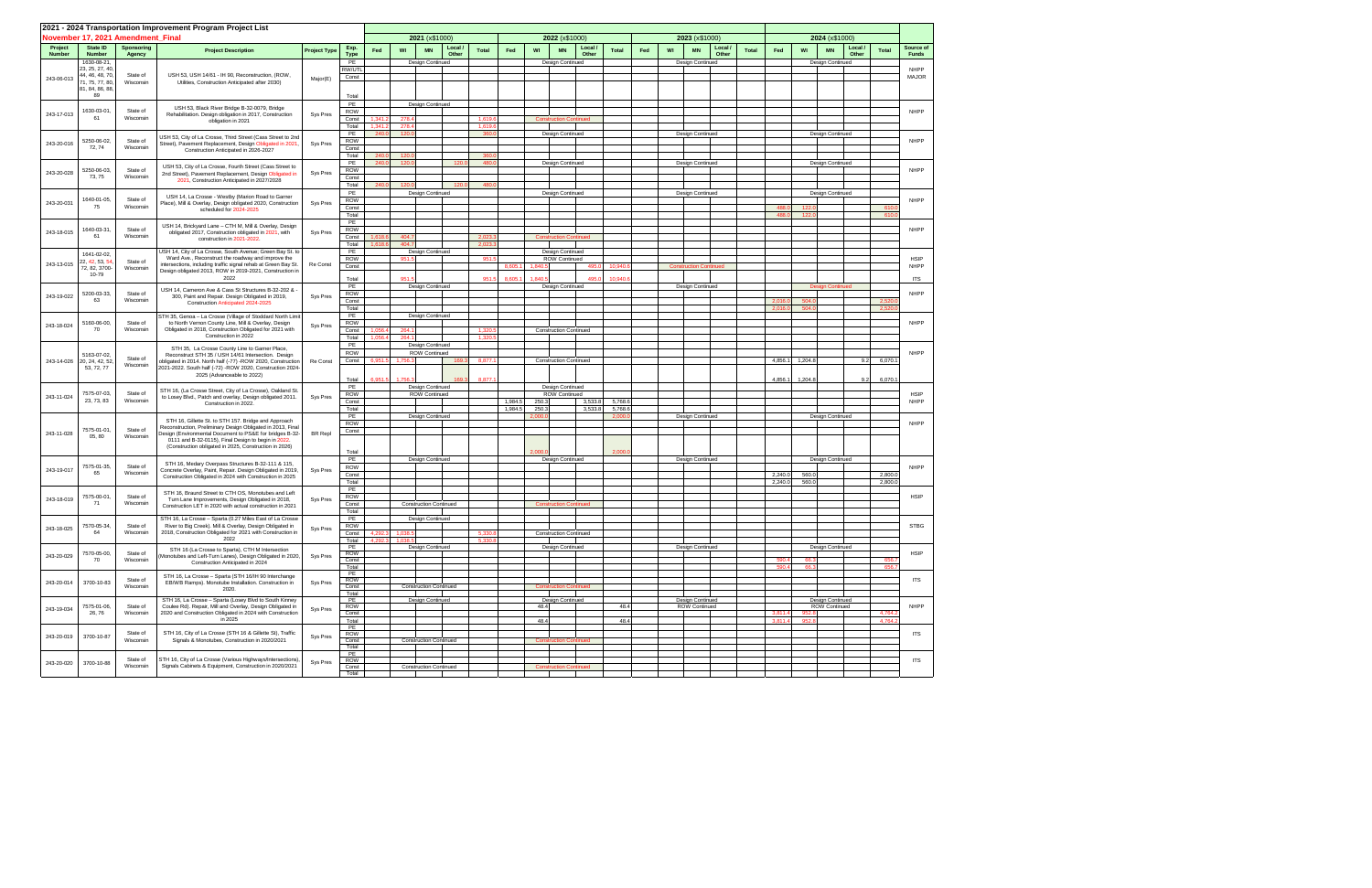|               | November 17, 2021 Amendment Final                           |                       | 2021 - 2024 Transportation Improvement Program Project List                                                                                                                                                                                                                                      |                     |                                    |                    |                    | 2021 (x\$1000)                       |                  |                    | 2022 (x\$1000)                                             |                    |                   |     |    | 2023 (x\$1000)                    |              | 2024 (x\$1000)     |                    |                                   |         |                         |                             |
|---------------|-------------------------------------------------------------|-----------------------|--------------------------------------------------------------------------------------------------------------------------------------------------------------------------------------------------------------------------------------------------------------------------------------------------|---------------------|------------------------------------|--------------------|--------------------|--------------------------------------|------------------|--------------------|------------------------------------------------------------|--------------------|-------------------|-----|----|-----------------------------------|--------------|--------------------|--------------------|-----------------------------------|---------|-------------------------|-----------------------------|
| Project       | State ID                                                    | <b>Sponsoring</b>     | <b>Project Description</b>                                                                                                                                                                                                                                                                       | <b>Project Type</b> | Exp.                               | Fed                | WI                 | Local<br><b>MN</b>                   | <b>Total</b>     | Fed                | WI<br><b>MN</b>                                            | Local              | <b>Total</b>      | Fed | WI | Local<br><b>MN</b>                | <b>Total</b> | Fed                | WI                 | <b>MN</b>                         | Local / | <b>Total</b>            | Source of                   |
| <b>Number</b> | <b>Number</b><br>1630-08-21,<br>23, 25, 27, 40,             | Agency<br>State of    |                                                                                                                                                                                                                                                                                                  |                     | <b>Type</b><br>PE<br>RW/UTI        |                    |                    | Other<br>Design Continued            |                  |                    | Design Continued                                           | Other              |                   |     |    | Other<br>Design Continued         |              |                    |                    | Design Continued                  | Other   |                         | <b>Funds</b><br><b>NHPP</b> |
| 243-06-013    | 44, 46, 48, 70,<br>71, 75, 77, 80,<br>81, 84, 86, 88,<br>89 | Wisconsin             | USH 53, USH 14/61 - IH 90, Reconstruction, (ROW,<br>Utilities, Construction Anticipated after 2030)                                                                                                                                                                                              | Major(E)            | Const<br>Total                     |                    |                    |                                      |                  |                    |                                                            |                    |                   |     |    |                                   |              |                    |                    |                                   |         |                         | <b>MAJOR</b>                |
| 243-17-013    | 1630-03-01<br>61                                            | State of<br>Wisconsin | USH 53, Black River Bridge B-32-0079, Bridge<br>Rehabilitation. Design obligation in 2017, Construction<br>obligation in 2021                                                                                                                                                                    | Sys Pres            | PE<br>ROW<br>Const                 | 1,341.2            | 278.               | Design Continued                     | 1.619            |                    | <b>Construction Continued</b>                              |                    |                   |     |    |                                   |              |                    |                    |                                   |         |                         | NHPP                        |
| 243-20-016    | 5250-06-02,<br>72, 74                                       | State of<br>Wisconsin | USH 53, City of La Crosse, Third Street (Cass Street to 2nd<br>Street), Pavement Replacement, Design Obligated in 2021,<br>Construction Anticipated in 2026-2027                                                                                                                                 | Sys Pres            | Total<br>PE<br>ROW<br>Const        | 1,341.2<br>240.0   | 278.<br>120.       |                                      | 1,619<br>360     |                    | Design Continued                                           |                    |                   |     |    | Design Continued                  |              |                    |                    | Design Continued                  |         |                         | <b>NHPP</b>                 |
| 243-20-028    | 5250-06-03,                                                 | State of              | USH 53, City of La Crosse, Fourth Street (Cass Street to<br>2nd Street), Pavement Replacement, Design Obligated in                                                                                                                                                                               | Sys Pres            | Total<br>PE<br>ROW                 | 240.0<br>240.0     | 120.<br>120.       | 120.                                 | 360<br>480       |                    | Design Continued                                           |                    |                   |     |    | Design Continued                  |              |                    |                    | Design Continued                  |         |                         | <b>NHPP</b>                 |
|               | 73, 75<br>640-01-05,                                        | Wisconsin<br>State of | 2021, Construction Anticipated in 2027/2028<br>USH 14, La Crosse - Westby (Marion Road to Garner                                                                                                                                                                                                 |                     | Const<br>Total<br>PE<br><b>ROW</b> | 240.0              | 120.               | 120.1<br>Design Continued            | 480.             |                    | Design Continued                                           |                    |                   |     |    | Design Continued                  |              |                    |                    | Design Continued                  |         |                         | <b>NHPP</b>                 |
| 243-20-031    | 75                                                          | Wisconsin             | Place), Mill & Overlay, Design obligated 2020, Construction<br>scheduled for 2024-2025                                                                                                                                                                                                           | Sys Pres            | Const<br>Total<br>PE               |                    |                    |                                      |                  |                    |                                                            |                    |                   |     |    |                                   |              | 488.0<br>488.0     | 122.1<br>122.0     |                                   |         | 610<br>610              |                             |
| 243-18-015    | 1640-03-31<br>61                                            | State of<br>Wisconsin | USH 14, Brickyard Lane - CTH M, Mill & Overlay, Design<br>obligated 2017, Construction obligated in 2021, with<br>construction in 2021-2022                                                                                                                                                      | Sys Pres            | ROW<br>Const<br>Total              | 1,618.6<br>1.618.6 | 404.7<br>404.7     |                                      | 2.023<br>2,023   |                    | <b>Construction Continued</b>                              |                    |                   |     |    |                                   |              |                    |                    |                                   |         |                         | NHPP                        |
| 243-13-015    | 1641-02-02,<br>22, 42, 53, 54<br>72, 82, 3700-              | State of<br>Wisconsin | USH 14, City of La Crosse, South Avenue; Green Bay St. to<br>Ward Ave., Reconstruct the roadway and improve the<br>intersections, including traffic signal rehab at Green Bay St.<br>Design obligated 2013, ROW in 2019-2021, Construction in                                                    | Re Const            | PE<br><b>ROW</b><br>Const          |                    | 951.5              | Design Continued                     | 951.             | 8.605.             | Design Continued<br>ROW Continued<br>1.840.                | 495.0              | 10,940.           |     |    | <b>Construction Continued</b>     |              |                    |                    |                                   |         |                         | <b>HSIP</b><br><b>NHPP</b>  |
| 243-19-022    | 10-79<br>5200-03-33,                                        | State of              | 2022<br>USH 14, Cameron Ave & Cass St Structures B-32-202 & -<br>300, Paint and Repair. Design Obligated in 2019,                                                                                                                                                                                | Sys Pres            | Total<br>PE<br><b>ROW</b>          |                    | 951.5              | Design Continued                     | 951.             | 8,605.1            | 1.840.<br>Design Continued                                 | 495.               | 10,940.6          |     |    | Design Continued                  |              |                    |                    | <b>Design Continued</b>           |         |                         | <b>ITS</b><br>NHPP          |
|               | 63<br>5160-06-00,                                           | Wisconsin<br>State of | Construction Anticipated 2024-2025<br>STH 35, Genoa - La Crosse (Village of Stoddard North Limit<br>to North Vernon County Line, Mill & Overlay, Design                                                                                                                                          |                     | Const<br>Total<br>PE<br>ROW        |                    |                    | Design Continued                     |                  |                    |                                                            |                    |                   |     |    |                                   |              | 2,016.0<br>2,016.0 | 504.0<br>504.0     |                                   |         | 2.520<br>2,52           | NHPP                        |
| 243-18-024    | 70                                                          | Wisconsin             | Obligated in 2018, Construction Obligated for 2021 with<br>Construction in 2022<br>STH 35, La Crosse County Line to Garner Place,                                                                                                                                                                | Sys Pres            | Const<br>Total<br>PE               | 1,056.4<br>1,056.4 | 264.1<br>264.1     | Design Continued                     | 1,320<br>1,320.  |                    | <b>Construction Continued</b>                              |                    |                   |     |    |                                   |              |                    |                    |                                   |         |                         |                             |
| 243-14-026    | 5163-07-02,<br>20, 24, 42, 52<br>53, 72, 77                 | State of<br>Wisconsin | Reconstruct STH 35 / USH 14/61 Intersection. Design<br>obligated in 2014. North half (-77) -ROW 2020, Construction<br>2021-2022. South half (-72) -ROW 2020, Construction 2024-<br>2025 (Advanceable to 2022)                                                                                    | Re Const            | ROW<br>Const<br>Total              | 6,951.5<br>6,951.5 | 1.756.3<br>1.756.  | <b>ROW Continued</b><br>169<br>169.3 | 8,877<br>8,877.  |                    | <b>Construction Continued</b>                              |                    |                   |     |    |                                   |              | 4,856.1<br>4,856.1 | 1,204.8<br>1,204.8 |                                   | 9.2     | $9.2$ 6,070.1<br>6,070. | NHPP                        |
| 243-11-024    | 7575-07-03,<br>23, 73, 83                                   | State of<br>Wisconsin | STH 16, (La Crosse Street, City of La Crosse), Oakland St.<br>to Losey Blvd., Patch and overlay, Design obligated 2011.<br>Construction in 2022.                                                                                                                                                 | Sys Pres            | PE<br><b>ROW</b><br>Const<br>Total |                    |                    | Design Continued<br>ROW Continued    |                  | 1,984.5<br>1,984.5 | Design Continued<br><b>ROW Continued</b><br>250.3<br>250.3 | 3,533.8<br>3,533.8 | 5,768.<br>5,768.6 |     |    |                                   |              |                    |                    |                                   |         |                         | <b>HSIP</b><br>NHPP         |
| 243-11-028    | 7575-01-01<br>05, 80                                        | State of<br>Wisconsin | STH 16, Gillette St. to STH 157. Bridge and Approach<br>Reconstruction, Preliminary Design Obligated in 2013, Final<br>Design (Environmental Document to PS&E for bridges B-32-<br>0111 and B-32-0115), Final Design to begin in 2022.<br>(Construction obligated in 2025, Construction in 2026) | <b>BR</b> Repl      | PE<br>ROW<br>Const<br>Total        |                    |                    | Design Continued                     |                  |                    | 2,000.<br>2.000                                            |                    | 2,000.<br>2,000.  |     |    | Design Continued                  |              |                    |                    | Design Continued                  |         |                         | NHPP                        |
| 243-19-017    | 7575-01-35,<br>65                                           | State of<br>Wisconsin | STH 16, Medary Overpass Structures B-32-111 & 115,<br>Concrete Overlay, Paint, Repair. Design Obligated in 2019,<br>Construction Obligated in 2024 with Construction in 2025                                                                                                                     | Sys Pres            | PE<br><b>ROW</b><br>Const<br>Total |                    |                    | Design Continued                     |                  |                    | Design Continued                                           |                    |                   |     |    | Design Continued                  |              | 2,240.0<br>2,240.0 | 560.0<br>560.0     | Design Continued                  |         | 2,800.0<br>2,800.       | NHPP                        |
| 243-18-019    | 7575-00-01,<br>71                                           | State of<br>Wisconsin | STH 16, Braund Street to CTH OS, Monotubes and Left<br>Turn Lane Improvements, Design Obligated in 2018,<br>Construction LET in 2020 with actual construction in 2021                                                                                                                            | Sys Pres            | PE<br><b>ROW</b><br>Const<br>Total |                    |                    | <b>Construction Continued</b>        |                  |                    | <b>Construction Continued</b>                              |                    |                   |     |    |                                   |              |                    |                    |                                   |         |                         | <b>HSIP</b>                 |
| 243-18-025    | 7570-05-34,<br>64                                           | State of<br>Wisconsin | STH 16, La Crosse - Sparta (0.27 Miles East of La Crosse<br>River to Big Creek). Mill & Overlay, Design Obligated in<br>2018, Construction Obligated for 2021 with Construction in<br>2022                                                                                                       | Sys Pres            | PE<br>ROW<br>Const<br>Total        | 4,292.3<br>4,292.3 | 1.038.5<br>1.038.f | Design Continued                     | 5,330.<br>5,330. |                    | <b>Construction Continued</b>                              |                    |                   |     |    |                                   |              |                    |                    |                                   |         |                         | <b>STBG</b>                 |
| 243-20-029    | 7570-05-00,<br>70                                           | State of<br>Wisconsin | STH 16 (La Crosse to Sparta), CTH M Intersection<br>Monotubes and Left-Turn Lanes), Design Obligated in 2020,<br>Construction Anticipated in 2024                                                                                                                                                | Sys Pres            | PE<br>ROW<br>Const<br>Total        |                    |                    | Design Continued                     |                  |                    | Design Continued                                           |                    |                   |     |    | Design Continued                  |              | 590.4<br>590.4     | 66.3<br>66.3       | Design Continued                  |         | 656<br>656              | <b>HSIP</b>                 |
| 243-20-014    | 3700-10-83                                                  | State of<br>Wisconsin | STH 16, La Crosse - Sparta (STH 16/IH 90 Interchange<br>EB/WB Ramps). Monotube Installation. Construction in<br>2020.                                                                                                                                                                            | Sys Pres            | PE<br>ROW<br>Const<br>Total        |                    |                    | <b>Construction Continued</b>        |                  |                    | <b>Construction Continued</b>                              |                    |                   |     |    |                                   |              |                    |                    |                                   |         |                         | <b>ITS</b>                  |
| 243-19-034    | 7575-01-06,<br>26, 76                                       | State of<br>Wisconsin | STH 16, La Crosse - Sparta (Losey Blvd to South Kinney<br>Coulee Rd). Repair, Mill and Overlay, Design Obligated in<br>2020 and Construction Obligated in 2024 with Construction<br>in 2025                                                                                                      | Sys Pres            | PE<br>ROW<br>Const<br>Total        |                    |                    | Design Continued                     |                  |                    | Design Continued<br>48.4<br>48.4                           |                    | 48.4<br>48.4      |     |    | Design Continued<br>ROW Continued |              | 3,811.4<br>3,811.4 | 952.8<br>952.8     | Design Continued<br>ROW Continued |         | 4.764.<br>4,764.        | NHPP                        |
| 243-20-019    | 3700-10-87                                                  | State of<br>Wisconsin | STH 16, City of La Crosse (STH 16 & Gillette St), Traffic<br>Signals & Monotubes, Construction in 2020/2021                                                                                                                                                                                      | Sys Pres            | PE<br>ROW<br>Const<br>Total        |                    |                    | <b>Construction Continued</b>        |                  |                    | <b>Construction Continued</b>                              |                    |                   |     |    |                                   |              |                    |                    |                                   |         |                         | <b>ITS</b>                  |
| 243-20-020    | 3700-10-88                                                  | State of<br>Wisconsin | STH 16, City of La Crosse (Various Highways/Intersections),<br>Signals Cabinets & Equipment, Construction in 2020/2021                                                                                                                                                                           | Sys Pres            | PE<br>ROW<br>Const<br>Total        |                    |                    | <b>Construction Continued</b>        |                  |                    | <b>Construction Continued</b>                              |                    |                   |     |    |                                   |              |                    |                    |                                   |         |                         | <b>ITS</b>                  |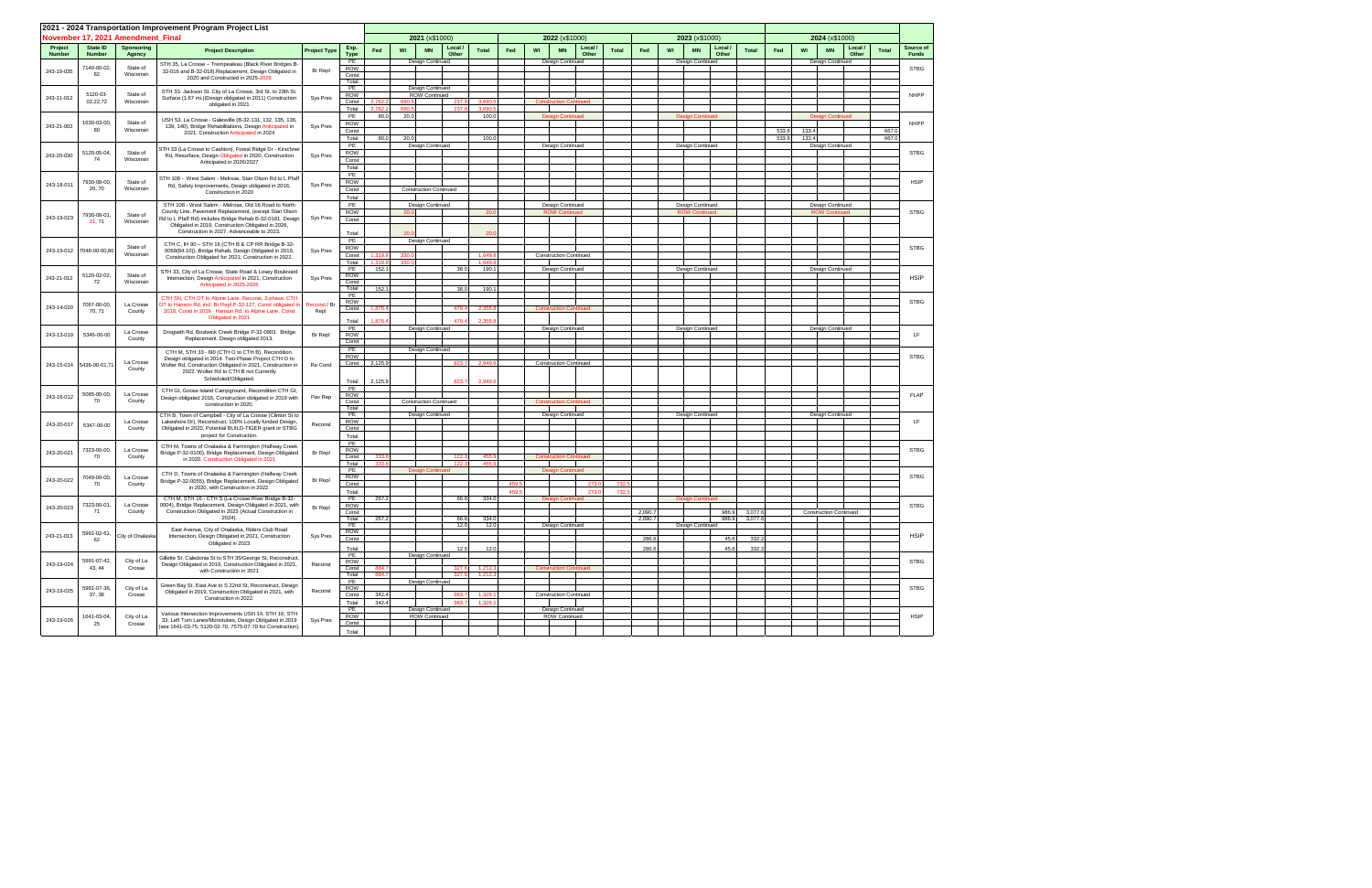|                          |                           |                                   | 2021 - 2024 Transportation Improvement Program Project List                                                              |                      |                     |                  |              |                               |                |                |       |    |                                          |              |         |    |                                             |                |                |                                          |                  |                |                           |
|--------------------------|---------------------------|-----------------------------------|--------------------------------------------------------------------------------------------------------------------------|----------------------|---------------------|------------------|--------------|-------------------------------|----------------|----------------|-------|----|------------------------------------------|--------------|---------|----|---------------------------------------------|----------------|----------------|------------------------------------------|------------------|----------------|---------------------------|
|                          |                           | November 17, 2021 Amendment Final |                                                                                                                          |                      |                     |                  |              | 2021 (x\$1000)                |                |                |       |    | 2022 (x\$1000)                           |              |         |    | 2023 (x\$1000)                              |                |                | 2024 (x\$1000)                           |                  |                |                           |
| Project<br><b>Number</b> | State ID<br><b>Number</b> | <b>Sponsoring</b><br>Agency       | <b>Project Description</b>                                                                                               | <b>Project Type</b>  | Exp.<br><b>Type</b> | Fed              | WI           | <b>MN</b>                     | Local<br>Other | <b>Total</b>   | Fed   | WI | Local /<br><b>MN</b><br>Other            | <b>Total</b> | Fed     | WI | Local<br><b>Total</b><br><b>MN</b><br>Other | Fed            | WI             | <b>MN</b>                                | Local /<br>Other | <b>Total</b>   | Source of<br><b>Funds</b> |
| 243-19-035               | 7140-00-02,               | State of                          | STH 35, La Crosse - Trempealeau (Black River Bridges B-<br>32-016 and B-32-018).Replacement, Design Obligated in         | <b>Br</b> Repl       | PE<br><b>ROW</b>    |                  |              | Design Continued              |                |                |       |    | Design Continued                         |              |         |    | Design Continued                            |                |                | Design Continued                         |                  |                | <b>STBG</b>               |
|                          | 82                        | Wisconsin                         | 2020 and Constructed in 2025-2026                                                                                        |                      | Const<br>Total      |                  |              |                               |                |                |       |    |                                          |              |         |    |                                             |                |                |                                          |                  |                |                           |
|                          |                           |                                   | STH 33. Jackson St. City of La Crosse, 3rd St. to 23th St.                                                               |                      | PE                  |                  |              | Design Continued              |                |                |       |    |                                          |              |         |    |                                             |                |                |                                          |                  |                |                           |
| 243-11-012               | 5120-03-<br>02,22,72      | State of<br>Wisconsin             | Surface (1.67 mi.)(Design obligated in 2011) Construction<br>obligated in 2021                                           | Sys Pres             | <b>ROW</b><br>Const | 2.762            |              | ROW Continued                 | 237.8          | 3.690          |       |    | <b>Construction Continued</b>            |              |         |    |                                             |                |                |                                          |                  |                | <b>NHPP</b>               |
|                          |                           |                                   |                                                                                                                          |                      | Total<br>PE         | 2,762.<br>80.0   | 690.<br>20.0 |                               | 237.8          | 3.690<br>100.  |       |    | <b>Design Continued</b>                  |              |         |    | <b>Design Continued</b>                     |                |                | <b>Design Continued</b>                  |                  |                |                           |
| 243-21-002               | 1630-03-00,               | State of                          | USH 53, La Crosse - Galesville (B-32-131, 132, 135, 136,<br>139, 140), Bridge Rehabilitations, Design Anticipated in     | Sys Pres             | <b>ROW</b>          |                  |              |                               |                |                |       |    |                                          |              |         |    |                                             |                |                |                                          |                  |                | <b>NHPP</b>               |
|                          | 80                        | Wisconsin                         | 2021, Construction Anticipated in 2024                                                                                   |                      | Const<br>Total      | 80.0             | 20.0         |                               |                | 100.0          |       |    |                                          |              |         |    |                                             | 533.6<br>533.6 | 133.4<br>133.4 |                                          |                  | 667.0<br>667.0 |                           |
|                          |                           |                                   | STH 33 (La Crosse to Cashton), Forest Ridge Dr - Kirschner                                                               |                      | PE                  |                  |              | Design Continued              |                |                |       |    | Design Continued                         |              |         |    | Design Continued                            |                |                | Design Continued                         |                  |                |                           |
| 243-20-030               | 5120-05-04,<br>74         | State of<br>Wisconsin             | Rd, Resurface, Design Obligated in 2020, Construction                                                                    | Sys Pres             | <b>ROW</b><br>Const |                  |              |                               |                |                |       |    |                                          |              |         |    |                                             |                |                |                                          |                  |                | <b>STBG</b>               |
|                          |                           |                                   | Anticipated in 2026/2027                                                                                                 |                      | Total               |                  |              |                               |                |                |       |    |                                          |              |         |    |                                             |                |                |                                          |                  |                |                           |
|                          | 7930-08-00,               | State of                          | STH 108 - West Salem - Melrose, Stan Olson Rd to L Pfaff                                                                 |                      | PE                  |                  |              |                               |                |                |       |    |                                          |              |         |    |                                             |                |                |                                          |                  |                | <b>HSIP</b>               |
| 243-18-011               | 20, 70                    | Wisconsin                         | Rd, Safety Improvements, Design obligated in 2016,<br>Construction in 2020                                               | Sys Pres             | <b>ROW</b><br>Const |                  |              | <b>Construction Continued</b> |                |                |       |    |                                          |              |         |    |                                             |                |                |                                          |                  |                |                           |
|                          |                           |                                   |                                                                                                                          |                      | Total<br>PE         |                  |              |                               |                |                |       |    |                                          |              |         |    |                                             |                |                |                                          |                  |                |                           |
|                          | 7930-08-01,               | State of                          | STH 108 - West Salem - Melrose, Old 16 Road to North<br>County Line, Pavement Replacement, (except Stan Olson            |                      | <b>ROW</b>          |                  | 20.0         | Design Continued              |                | 20             |       |    | Design Continued<br><b>ROW Continued</b> |              |         |    | Design Continued<br><b>ROW Continued</b>    |                |                | Design Continued<br><b>ROW Continued</b> |                  |                | <b>STBG</b>               |
| 243-19-023               | 21, 71                    | Wisconsin                         | Rd to L Pfaff Rd) includes Bridge Rehab B-32-0181. Design<br>Obligated in 2019, Construction Obligated in 2026,          | Sys Pres             | Const               |                  |              |                               |                |                |       |    |                                          |              |         |    |                                             |                |                |                                          |                  |                |                           |
|                          |                           |                                   | Construction in 2027, Advanceable to 2023.                                                                               |                      | Total               |                  |              |                               |                | 20.            |       |    |                                          |              |         |    |                                             |                |                |                                          |                  |                |                           |
|                          |                           | State of                          | CTH C, IH 90 - STH 16 (CTH B & CP RR Bridge B-32-                                                                        |                      | PE<br><b>ROW</b>    |                  |              | Design Continued              |                |                |       |    |                                          |              |         |    |                                             |                |                |                                          |                  |                | <b>STBG</b>               |
| 243-19-012               | 7048-00-00,80             | Wisconsin                         | 0069(84.10)), Bridge Rehab, Design Obligated in 2019,<br>Construction Obligated for 2021; Construction in 2022.          | Sys Pres             | Const               | 1,319.           |              |                               |                | 1,649          |       |    | <b>Construction Continued</b>            |              |         |    |                                             |                |                |                                          |                  |                |                           |
|                          |                           |                                   |                                                                                                                          |                      | Total<br>PE         | 1.319.8<br>152.1 | 330.0        |                               | 38.0           | 1,649<br>190.1 |       |    | Design Continued                         |              |         |    | Design Continued                            |                |                | Design Continued                         |                  |                |                           |
| 243-21-012               | 5120-02-02,               | State of                          | STH 33, City of La Crosse, State Road & Losey Boulevard<br>Intersection, Design Anticipated in 2021, Construction        | Sys Pres             | ROW                 |                  |              |                               |                |                |       |    |                                          |              |         |    |                                             |                |                |                                          |                  |                | <b>HSIP</b>               |
|                          | 72                        | Wisconsin                         | Anticipated in 2025-2026                                                                                                 |                      | Const<br>Total      | 152.1            |              |                               | 38.0           | 190.1          |       |    |                                          |              |         |    |                                             |                |                |                                          |                  |                |                           |
|                          |                           |                                   | CTH SN, CTH OT to Alpine Lane. Reconst, 2-phase: CTH                                                                     |                      | PE<br><b>ROW</b>    |                  |              |                               |                |                |       |    |                                          |              |         |    |                                             |                |                |                                          |                  |                | <b>STBG</b>               |
| 243-14-020               | 7067-00-00,<br>70, 71     | La Crosse<br>County               | OT to Hanson Rd, incl. Br Repl P-32-127, Const obligated in<br>2018, Const in 2019. Hanson Rd. to Alpine Lane, Const     | Reconst / Br<br>Repl | Const               | 1,876.4          |              |                               | 479.4          | 2,355          |       |    | <b>Construction Continued</b>            |              |         |    |                                             |                |                |                                          |                  |                |                           |
|                          |                           |                                   | Obligated in 2021                                                                                                        |                      | Total               | 1,876.4          |              |                               | 479.4          | 2,355          |       |    |                                          |              |         |    |                                             |                |                |                                          |                  |                |                           |
| 243-13-019               | 5346-00-00                | La Crosse                         | Drogseth Rd, Bostwick Creek Bridge P-32-0903. Bridge                                                                     | Br Repl              | PE<br><b>ROW</b>    |                  |              | Design Continued              |                |                |       |    | Design Continued                         |              |         |    | <b>Design Continued</b>                     |                |                | <b>Design Continued</b>                  |                  |                | LF.                       |
|                          |                           | County                            | Replacement. Design obligated 2013.                                                                                      |                      | Const               |                  |              |                               |                |                |       |    |                                          |              |         |    |                                             |                |                |                                          |                  |                |                           |
|                          |                           |                                   | CTH M, STH 33 - I90 (CTH O to CTH B), Recondition.                                                                       |                      | PE<br>ROW           |                  |              | Design Continued              |                |                |       |    |                                          |              |         |    |                                             |                |                |                                          |                  |                | <b>STBG</b>               |
|                          | 243-15-014 5436-00-01,7   | La Crosse                         | Design obligated in 2014. Two-Phase Project CTH O to<br>Wolter Rd, Construction Obligated in 2021, Construction in       | Re Cond              | Const               | 2,125.9          |              |                               | 823.7          | 2,949          |       |    | <b>Construction Continued</b>            |              |         |    |                                             |                |                |                                          |                  |                |                           |
|                          |                           | County                            | 2022. Wolter Rd to CTH B not Currently<br>Scheduled/Obligated.                                                           |                      |                     |                  |              |                               |                |                |       |    |                                          |              |         |    |                                             |                |                |                                          |                  |                |                           |
|                          |                           |                                   |                                                                                                                          |                      | Total<br>PE         | 2,125.9          |              |                               | 823.7          | 2,949.         |       |    |                                          |              |         |    |                                             |                |                |                                          |                  |                |                           |
| 243-16-012               | 5085-00-00,<br>70         | La Crosse<br>County               | CTH GI, Goose Island Campground, Recondition CTH GI,<br>Design obligated 2016, Construction obligated in 2019 with       | Pav Rep              | <b>ROW</b><br>Const |                  |              | <b>Construction Continued</b> |                |                |       |    | <b>Construction Continued</b>            |              |         |    |                                             |                |                |                                          |                  |                | <b>FLAP</b>               |
|                          |                           |                                   | construction in 2020.                                                                                                    |                      | Total               |                  |              |                               |                |                |       |    |                                          |              |         |    |                                             |                |                |                                          |                  |                |                           |
|                          |                           | La Crosse                         | CTH B, Town of Campbell - City of La Crosse (Clinton St to<br>Lakeshore Dr), Reconstruct, 100% Locally funded Design,    |                      | PE<br><b>ROW</b>    |                  |              | Design Continued              |                |                |       |    | Design Continued                         |              |         |    | Design Continued                            |                |                | Design Continued                         |                  |                | LF.                       |
| 243-20-017               | 5347-00-00                | County                            | Obligated in 2020, Potential BUILD-TIGER grant or STBG                                                                   | Reconst              | Const               |                  |              |                               |                |                |       |    |                                          |              |         |    |                                             |                |                |                                          |                  |                |                           |
|                          |                           |                                   | project for Construction.                                                                                                |                      | Total<br>PE         |                  |              |                               |                |                |       |    |                                          |              |         |    |                                             |                |                |                                          |                  |                |                           |
| 243-20-021               | 7323-00-00,<br>70         | La Crosse<br>County               | CTH M, Towns of Onalaska & Farmington (Halfway Creek<br>Bridge P-32-0100), Bridge Replacement, Design Obligated          | Br Repl              | ROW<br>Const        | 333.             |              |                               | 122.3          | 455            |       |    | <b>Construction Continued</b>            |              |         |    |                                             |                |                |                                          |                  |                | <b>STBG</b>               |
|                          |                           |                                   | in 2020, Construction Obligated in 2021                                                                                  |                      | Total               | 333.             |              |                               | 122.3          | 455            |       |    |                                          |              |         |    |                                             |                |                |                                          |                  |                |                           |
|                          | 7049-00-00,               | La Crosse                         | CTH D, Towns of Onalaska & Farmington (Halfway Creek                                                                     |                      | PE<br>ROW           |                  |              | <b>Design Continued</b>       |                |                |       |    | <b>Design Continued</b>                  |              |         |    |                                             |                |                |                                          |                  |                | <b>STBG</b>               |
| 243-20-022               | 70                        | County                            | Bridge P-32-0055), Bridge Replacement, Design Obligated<br>in 2020, with Construction in 2022.                           | <b>Br</b> Repl       | Const               |                  |              |                               |                |                | 459.5 |    | 273.0                                    | 732          |         |    |                                             |                |                |                                          |                  |                |                           |
|                          |                           |                                   | CTH M, STH 16 - CTH S (La Crosse River Bridge B-32-                                                                      |                      | Total<br>PE         | 267.2            |              |                               | 66.8           | 334.0          | 459.5 |    | 273.<br><b>Design Continued</b>          | 732          |         |    | <b>Design Continued</b>                     |                |                |                                          |                  |                |                           |
| 243-20-023               | 7323-00-01,<br>71         | La Crosse<br>County               | 0004), Bridge Replacement, Design Obligated in 2021, with<br>Construction Obligated in 2023 (Actual Construction in      | Br Repl              | <b>ROW</b><br>Const |                  |              |                               |                |                |       |    |                                          |              | 2,090.7 |    | 986.9<br>3,077.                             |                |                | <b>Construction Continued</b>            |                  |                | <b>STBG</b>               |
|                          |                           |                                   | 2024).                                                                                                                   |                      | Total               | 267.2            |              |                               | 66.8           | 334.0          |       |    |                                          |              | 2,090.7 |    | 986.9<br>3,077.6                            |                |                |                                          |                  |                |                           |
|                          | 5991-02-61,               |                                   | East Avenue, City of Onalaska, Riders Club Road                                                                          |                      | PE<br>ROW           |                  |              |                               | 12.0           | 12.0           |       |    | Design Continued                         |              |         |    | Design Continued                            |                |                |                                          |                  |                |                           |
| 243-21-013               | 62                        | City of Onalaska                  | Intersection, Design Obligated in 2021, Construction<br>Obligated in 2023                                                | Sys Pres             | Const               |                  |              |                               |                |                |       |    |                                          |              | 286.6   |    | 45.6<br>332.                                |                |                |                                          |                  |                | <b>HSIP</b>               |
|                          |                           |                                   |                                                                                                                          |                      | Total<br>PE         |                  |              | Design Continued              | 12.0           | 12.0           |       |    |                                          |              | 286.6   |    | 45.6<br>332.2                               |                |                |                                          |                  |                |                           |
| 243-19-024               | 5991-07-42,<br>43, 44     | City of La<br>Crosse              | Gillette St, Caledonia St to STH 35/George St, Reconstruct,<br>Design Obligated in 2019, Construction Obligated in 2021, | Reconst              | ROW                 |                  |              |                               |                |                |       |    |                                          |              |         |    |                                             |                |                |                                          |                  |                | <b>STBG</b>               |
|                          |                           |                                   | with Construction in 2021                                                                                                |                      | Const<br>Total      | 884.7<br>884.7   |              |                               | 327.6<br>327.6 | 1,212<br>1,212 |       |    | <b>Construction Continued</b>            |              |         |    |                                             |                |                |                                          |                  |                |                           |
|                          | 5991-07-36,               | City of La                        | Green Bay St. East Ave to S 22nd St. Reconstruct. Design                                                                 |                      | PE<br><b>ROW</b>    |                  |              | Design Continued              |                |                |       |    |                                          |              |         |    |                                             |                |                |                                          |                  |                | <b>STBG</b>               |
| 243-19-025               | 37, 38                    | Crosse                            | Obligated in 2019, Construction Obligated in 2021, with<br>Construction in 2022.                                         | Reconst              | Const               | 342.4            |              |                               | 983.7          | 1,326.         |       |    | <b>Construction Continued</b>            |              |         |    |                                             |                |                |                                          |                  |                |                           |
|                          |                           |                                   |                                                                                                                          |                      | Total<br>PE         | 342.4            |              | Design Continued              | 983.7          | 1,326          |       |    | Design Continued                         |              |         |    |                                             |                |                |                                          |                  |                |                           |
| 243-19-026               | 1641-03-04,               | City of La                        | Various Intersection Improvements USH 14, STH 16, STH<br>33, Left Turn Lanes/Monotubes, Design Obligated in 2019         | Sys Pres             | <b>ROW</b><br>Const |                  |              | ROW Continued                 |                |                |       |    | ROW Continued                            |              |         |    |                                             |                |                |                                          |                  |                | <b>HSIP</b>               |
|                          | 25                        | Crosse                            | (see 1641-03-75, 5120-02-70, 7575-07-70 for Construction).                                                               |                      | Total               |                  |              |                               |                |                |       |    |                                          |              |         |    |                                             |                |                |                                          |                  |                |                           |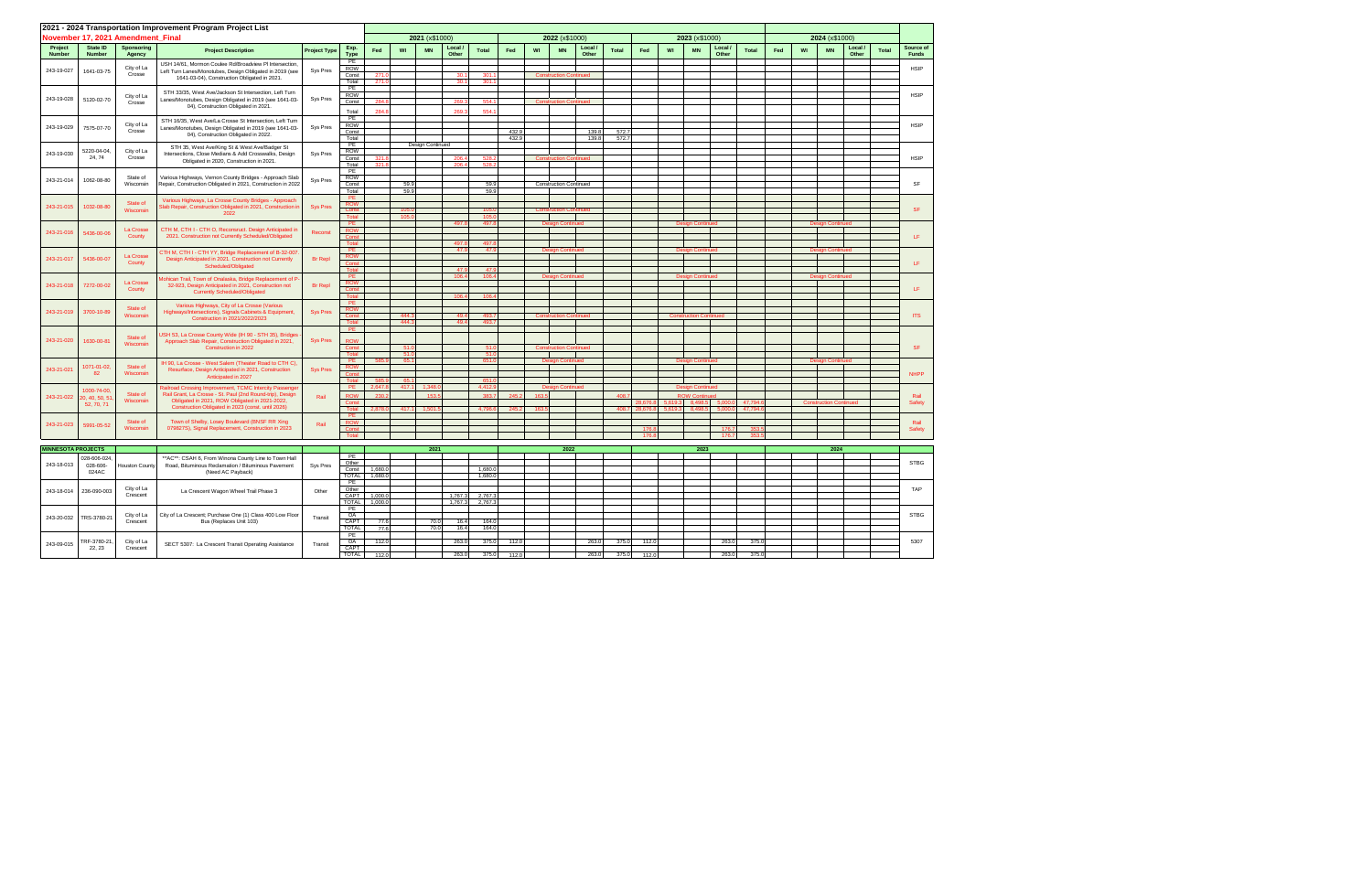|                           |                               |                                                | 2021 - 2024 Transportation Improvement Program Project List                                                             |                     |                      |                    |      |                  |                    |                  |       |       |                               |                  |       |          |                                  |                               |                   |                 |     |    |                               |                  |              |                                                                              |
|---------------------------|-------------------------------|------------------------------------------------|-------------------------------------------------------------------------------------------------------------------------|---------------------|----------------------|--------------------|------|------------------|--------------------|------------------|-------|-------|-------------------------------|------------------|-------|----------|----------------------------------|-------------------------------|-------------------|-----------------|-----|----|-------------------------------|------------------|--------------|------------------------------------------------------------------------------|
|                           |                               | November 17, 2021 Amendment Final              |                                                                                                                         |                     |                      |                    |      | 2021 (x\$1000)   |                    |                  |       |       | 2022 (x\$1000)                |                  |       |          |                                  | 2023 (x\$1000)                |                   |                 |     |    | 2024 (x\$1000)                |                  |              |                                                                              |
| Project<br><b>Number</b>  | State ID<br>Number            | Sponsoring<br>Agency                           | <b>Project Description</b>                                                                                              | <b>Project Type</b> | Exp.<br><b>Type</b>  | Fed                | WI   | <b>MN</b>        | Local /<br>Other   | <b>Total</b>     | Fed   | WI    | <b>MN</b>                     | Local /<br>Other | Total | Fed      | WI                               | <b>MN</b>                     | Local /<br>Other  | <b>Total</b>    | Fed | WI | <b>MN</b>                     | Local /<br>Other | <b>Total</b> | Source of<br><b>Funds</b>                                                    |
| 243-19-027                | 1641-03-75                    | City of La                                     | USH 14/61, Mormon Coulee Rd/Broadview PI Intersection,<br>Left Turn Lanes/Monotubes, Design Obligated in 2019 (see      |                     | PE<br><b>ROW</b>     |                    |      |                  |                    |                  |       |       |                               |                  |       |          |                                  |                               |                   |                 |     |    |                               |                  |              | <b>HSIP</b>                                                                  |
|                           |                               | Crosse                                         | 1641-03-04), Construction Obligated in 2021.                                                                            | Sys Pres            | Const                | 271.1              |      |                  | 30.1               | 301              |       |       | <b>Construction Continued</b> |                  |       |          |                                  |                               |                   |                 |     |    |                               |                  |              |                                                                              |
|                           |                               |                                                |                                                                                                                         |                     | Total<br>PE          | 271.               |      |                  | 30.1               | 301.             |       |       |                               |                  |       |          |                                  |                               |                   |                 |     |    |                               |                  |              |                                                                              |
| 243-19-028                | 5120-02-70                    | City of La                                     | STH 33/35, West Ave/Jackson St Intersection, Left Turn<br>Lanes/Monotubes, Design Obligated in 2019 (see 1641-03-       | Sys Pres            | <b>ROW</b><br>Const  | 284.               |      |                  | 269.3              | 554.             |       |       | <b>Construction Continued</b> |                  |       |          |                                  |                               |                   |                 |     |    |                               |                  |              | <b>HSIP</b>                                                                  |
|                           |                               | Crosse                                         | 04), Construction Obligated in 2021.                                                                                    |                     | Total                | 284.               |      |                  | 269.3              | 554.             |       |       |                               |                  |       |          |                                  |                               |                   |                 |     |    |                               |                  |              |                                                                              |
|                           |                               |                                                | STH 16/35. West Ave/La Crosse St Intersection. Left Turn                                                                |                     | PE                   |                    |      |                  |                    |                  |       |       |                               |                  |       |          |                                  |                               |                   |                 |     |    |                               |                  |              |                                                                              |
| 243-19-029                | 7575-07-70                    | City of La<br>Crosse                           | Lanes/Monotubes, Design Obligated in 2019 (see 1641-03-                                                                 | Sys Pres            | <b>ROW</b><br>Const  |                    |      |                  |                    |                  | 432.9 |       |                               | 139.8            | 572.7 |          |                                  |                               |                   |                 |     |    |                               |                  |              | <b>HSIP</b>                                                                  |
|                           |                               |                                                | 04), Construction Obligated in 2022.                                                                                    |                     | Total                |                    |      |                  |                    |                  | 432.9 |       |                               | 139.8            | 572.7 |          |                                  |                               |                   |                 |     |    |                               |                  |              |                                                                              |
| 243-19-030                | 5220-04-04,                   | City of La                                     | STH 35, West Ave/King St & West Ave/Badger St                                                                           |                     | PE<br>ROW            |                    |      | Design Continued |                    |                  |       |       |                               |                  |       |          |                                  |                               |                   |                 |     |    |                               |                  |              |                                                                              |
|                           | 24, 74                        | Crosse                                         | Intersections, Close Medians & Add Crosswalks, Design<br>Obligated in 2020, Construction in 2021.                       | Sys Pres            | Const                | 321                |      |                  | 206.4              | 528              |       |       | <b>Construction Continued</b> |                  |       |          |                                  |                               |                   |                 |     |    |                               |                  |              | <b>HSIP</b>                                                                  |
|                           |                               |                                                |                                                                                                                         |                     | Total<br>PE          | 321.8              |      |                  | 206.4              | 528.             |       |       |                               |                  |       |          |                                  |                               |                   |                 |     |    |                               |                  |              |                                                                              |
| 243-21-014                | 1062-08-80                    | State of<br>Wisconsin                          | Various Highways, Vernon County Bridges - Approach Slab<br>Repair, Construction Obligated in 2021, Construction in 2022 | Sys Pres            | <b>ROW</b>           |                    | 59.9 |                  |                    |                  |       |       |                               |                  |       |          |                                  |                               |                   |                 |     |    |                               |                  |              | SF                                                                           |
|                           |                               |                                                |                                                                                                                         |                     | Const<br>Total       |                    | 59.9 |                  |                    | 59.<br>59.       |       |       | <b>Construction Continued</b> |                  |       |          |                                  |                               |                   |                 |     |    |                               |                  |              |                                                                              |
|                           |                               | State of                                       | Various Highways, La Crosse County Bridges - Approach                                                                   |                     | PE                   |                    |      |                  |                    |                  |       |       |                               |                  |       |          |                                  |                               |                   |                 |     |    |                               |                  |              |                                                                              |
| 243-21-015                | 1032-08-80                    | Wisconsin                                      | Slab Repair, Construction Obligated in 2021, Construction in<br>2022                                                    | <b>Sys Pres</b>     | <b>ROW</b>           |                    |      |                  |                    |                  |       |       |                               |                  |       |          |                                  |                               |                   |                 |     |    |                               |                  |              | <b>SF</b>                                                                    |
|                           |                               |                                                |                                                                                                                         |                     | Total<br>PE.         |                    | 105. |                  | 497.8              | 105.<br>497      |       |       | <b>Design Continued</b>       |                  |       |          |                                  | <b>Design Continued</b>       |                   |                 |     |    | <b>Design Continued</b>       |                  |              |                                                                              |
| 243-21-016                | 5436-00-06                    | La Crosse                                      | CTH M, CTH I - CTH O, Reconsruct. Design Anticipated in                                                                 | Reconst             | <b>ROW</b>           |                    |      |                  |                    |                  |       |       |                               |                  |       |          |                                  |                               |                   |                 |     |    |                               |                  |              |                                                                              |
|                           |                               | County                                         | 2021. Construction not Currently Scheduled/Obligated                                                                    |                     | Const<br>Total       |                    |      |                  | 497.8              | 497.             |       |       |                               |                  |       |          |                                  |                               |                   |                 |     |    |                               |                  |              | LF.                                                                          |
|                           |                               |                                                | TH M, CTH I - CTH YY, Bridge Replacement of B-32-007                                                                    |                     | <b>PE</b>            |                    |      |                  | 47.9               | -47              |       |       | an Continue                   |                  |       |          |                                  | <b>Design Contini</b>         |                   |                 |     |    | <b>Design Continu</b>         |                  |              |                                                                              |
| 243-21-017                | 5436-00-07                    | La Crosse<br>County                            | Design Anticipated in 2021. Construction not Currently<br>Scheduled/Obligated                                           | <b>Br</b> Repl      | <b>ROW</b><br>Cons   |                    |      |                  |                    |                  |       |       |                               |                  |       |          |                                  |                               |                   |                 |     |    |                               |                  |              | $\mathsf{LF}% _{0}\left( t\right) \rightarrow\mathsf{LF}_{0}\left( t\right)$ |
|                           |                               |                                                |                                                                                                                         |                     | Total                |                    |      |                  | 47.9               | 47.              |       |       |                               |                  |       |          |                                  | <b>Design Continue</b>        |                   |                 |     |    | <b>Design Continuer</b>       |                  |              |                                                                              |
| 243-21-018                | 7272-00-02                    | La Crosse                                      | ohican Trail, Town of Onalaska, Bridge Replacement of P-<br>32-923, Design Anticipated in 2021, Construction not        | <b>Br</b> Repl      | PE<br><b>ROW</b>     |                    |      |                  | 106.4              | 106.             |       |       | <b>Design Continued</b>       |                  |       |          |                                  |                               |                   |                 |     |    |                               |                  |              |                                                                              |
|                           |                               | County<br><b>Currently Scheduled/Obligated</b> |                                                                                                                         |                     | Cons<br>Total        |                    |      |                  | 106.4              | 106              |       |       |                               |                  |       |          |                                  |                               |                   |                 |     |    |                               |                  |              | LF                                                                           |
|                           |                               |                                                | Various Highways, City of La Crosse (Various                                                                            |                     | <b>PE</b>            |                    |      |                  |                    |                  |       |       |                               |                  |       |          |                                  |                               |                   |                 |     |    |                               |                  |              |                                                                              |
| 243-21-019                | 3700-10-89                    | State of<br>Wisconsin                          | Highways/Intersections), Signals Cabinets & Equipment,                                                                  | <b>Sys Pres</b>     | <b>ROW</b><br>Const  |                    | 444. |                  | 49.4               | 493.             |       |       | <b>Construction Continued</b> |                  |       |          |                                  | <b>Construction Continued</b> |                   |                 |     |    |                               |                  |              | <b>ITS</b>                                                                   |
|                           |                               |                                                | Construction in 2021/2022/2023                                                                                          |                     | Total                |                    | 444. |                  | 49.4               | 493              |       |       |                               |                  |       |          |                                  |                               |                   |                 |     |    |                               |                  |              |                                                                              |
|                           |                               | State of                                       | JSH 53, La Crosse County Wide (IH 90 - STH 35), Bridges                                                                 |                     | PE                   |                    |      |                  |                    |                  |       |       |                               |                  |       |          |                                  |                               |                   |                 |     |    |                               |                  |              |                                                                              |
| 243-21-020                | 1630-00-81                    | Wisconsin                                      | Approach Slab Repair, Construction Obligated in 2021,<br>Construction in 2022                                           | <b>Sys Pres</b>     | <b>ROW</b><br>Const  |                    | 51.  |                  |                    | 51.              |       |       | <b>Construction Continued</b> |                  |       |          |                                  |                               |                   |                 |     |    |                               |                  |              | <b>SF</b>                                                                    |
|                           |                               |                                                |                                                                                                                         |                     |                      |                    | 51   |                  |                    | 51               |       |       |                               |                  |       |          |                                  |                               |                   |                 |     |    |                               |                  |              |                                                                              |
|                           | 1071-01-02,                   | State of                                       | IH 90, La Crosse - West Salem (Theater Road to CTH C),                                                                  |                     | PE<br><b>ROW</b>     | 585                | 65   |                  |                    | 651              |       |       | <b>Design Continued</b>       |                  |       |          |                                  | <b>Design Continued</b>       |                   |                 |     |    | <b>Design Continued</b>       |                  |              |                                                                              |
| 243-21-021                | 82                            | Wisconsin                                      | Resurface, Design Anticipated in 2021, Construction<br>Anticipated in 2027                                              | <b>Sys Pres</b>     | Const                |                    |      |                  |                    |                  |       |       |                               |                  |       |          |                                  |                               |                   |                 |     |    |                               |                  |              | <b>NHPP</b>                                                                  |
|                           |                               |                                                | Railroad Crossing Improvement, TCMC Intercity Passenge                                                                  |                     | Tota<br>PE           | 2,647.             | 417. | 1.348            |                    | 651<br>4.412     |       |       | in Continuer                  |                  |       |          |                                  | <b>Design Continuer</b>       |                   |                 |     |    |                               |                  |              |                                                                              |
| 243-21-022                | 1000-74-00.<br>20, 40, 50, 51 | State of                                       | Rail Grant, La Crosse - St. Paul (2nd Round-trip), Design                                                               | Rail                | <b>ROW</b>           | 230.               |      | 153.5            |                    | 383.             | 245.  | 163.5 |                               |                  | 408   |          |                                  | <b>ROW Continued</b>          |                   |                 |     |    |                               |                  |              | Rail                                                                         |
|                           | 52, 70, 71                    | Wisconsin                                      | Obligated in 2021, ROW Obligated in 2021-2022,<br>Construction Obligated in 2023 (const. until 2026)                    |                     | Const<br>Total       | 2.878              | 417. | 1.501            |                    | 4.796            | 245.  | 163.  |                               |                  | 408.  | 28.676.8 | 8,676.8 5,619.3 8,498.5<br>5.619 | 8.498                         | 5.000.0<br>5.000. | 47.794<br>47.79 |     |    | <b>Construction Continued</b> |                  |              | <b>Safety</b>                                                                |
|                           |                               |                                                |                                                                                                                         |                     | PF                   |                    |      |                  |                    |                  |       |       |                               |                  |       |          |                                  |                               |                   |                 |     |    |                               |                  |              |                                                                              |
| 243-21-023                | 5991-05-52                    | State of<br>Wisconsin                          | Town of Shelby, Losey Boulevard (BNSF RR Xing<br>079827S), Signal Replacement, Construction in 2023                     | Rail                | <b>ROW</b><br>Const  |                    |      |                  |                    |                  |       |       |                               |                  |       | 176.8    |                                  |                               | 176.7             | 353             |     |    |                               |                  |              | Rail<br>Safety                                                               |
|                           |                               |                                                |                                                                                                                         |                     | Total                |                    |      |                  |                    |                  |       |       |                               |                  |       | 176.8    |                                  |                               | 176.7             | -353            |     |    |                               |                  |              |                                                                              |
| <b>MINNESOTA PROJECTS</b> |                               |                                                |                                                                                                                         |                     |                      |                    |      | 2021             |                    |                  |       |       | 2022                          |                  |       |          |                                  | 2023                          |                   |                 |     |    | 2024                          |                  |              |                                                                              |
|                           | 028-606-024                   |                                                | ** AC**: CSAH 6, From Winona County Line to Town Hall                                                                   |                     | PE<br>Other          |                    |      |                  |                    |                  |       |       |                               |                  |       |          |                                  |                               |                   |                 |     |    |                               |                  |              | <b>STBG</b>                                                                  |
| 243-18-013                | 028-606-<br>024AC             | <b>Houston County</b>                          | Road, Bituminous Reclamation / Bituminous Pavement<br>(Need AC Payback)                                                 | Sys Pres            | Const                | 1,680.0            |      |                  |                    | 1,680.           |       |       |                               |                  |       |          |                                  |                               |                   |                 |     |    |                               |                  |              |                                                                              |
|                           |                               |                                                |                                                                                                                         |                     | <b>TOTAL</b><br>PE   | 1,680.0            |      |                  |                    | 1,680.           |       |       |                               |                  |       |          |                                  |                               |                   |                 |     |    |                               |                  |              |                                                                              |
| 243-18-014                | 236-090-003                   | City of La                                     | La Crescent Wagon Wheel Trail Phase 3                                                                                   | Other               | Other                |                    |      |                  |                    |                  |       |       |                               |                  |       |          |                                  |                               |                   |                 |     |    |                               |                  |              | <b>TAP</b>                                                                   |
|                           |                               | Crescent                                       |                                                                                                                         |                     | CAPT<br><b>TOTAL</b> | 1,000.0<br>1,000.0 |      |                  | 1,767.3<br>1,767.3 | 2,767.<br>2,767. |       |       |                               |                  |       |          |                                  |                               |                   |                 |     |    |                               |                  |              |                                                                              |
|                           |                               |                                                |                                                                                                                         |                     | PE                   |                    |      |                  |                    |                  |       |       |                               |                  |       |          |                                  |                               |                   |                 |     |    |                               |                  |              |                                                                              |
| 243-20-032                | TRS-3780-21                   | City of La<br>Crescent                         | City of La Crescent; Purchase One (1) Class 400 Low Floor<br>Bus (Replaces Unit 103)                                    | Transit             | OA<br>CAPT           | 77.6               |      | 70.0             | 16.4               | 164.             |       |       |                               |                  |       |          |                                  |                               |                   |                 |     |    |                               |                  |              | <b>STBG</b>                                                                  |
|                           |                               |                                                |                                                                                                                         |                     | <b>TOTAL</b><br>PE   | 77.6               |      | 70.0             | 16.4               | 164.             |       |       |                               |                  |       |          |                                  |                               |                   |                 |     |    |                               |                  |              |                                                                              |
| 243-09-015                | TRF-3780-21                   | City of La                                     | SECT 5307: La Crescent Transit Operating Assistance                                                                     | Transit             | OA                   | 112.0              |      |                  | 263.0              | 375.0            | 112.0 |       |                               | 263.0            | 375.0 | 112.0    |                                  |                               | 263.0             | 375.0           |     |    |                               |                  |              | 5307                                                                         |
|                           | 22, 23                        | Crescent                                       |                                                                                                                         |                     | CAPT<br><b>TOTAL</b> | 112.0              |      |                  | 263.0              | 375.0            | 112.0 |       |                               | 263.0            | 375.0 | 112.0    |                                  |                               | 263.0             | 375.0           |     |    |                               |                  |              |                                                                              |
|                           |                               |                                                |                                                                                                                         |                     |                      |                    |      |                  |                    |                  |       |       |                               |                  |       |          |                                  |                               |                   |                 |     |    |                               |                  |              |                                                                              |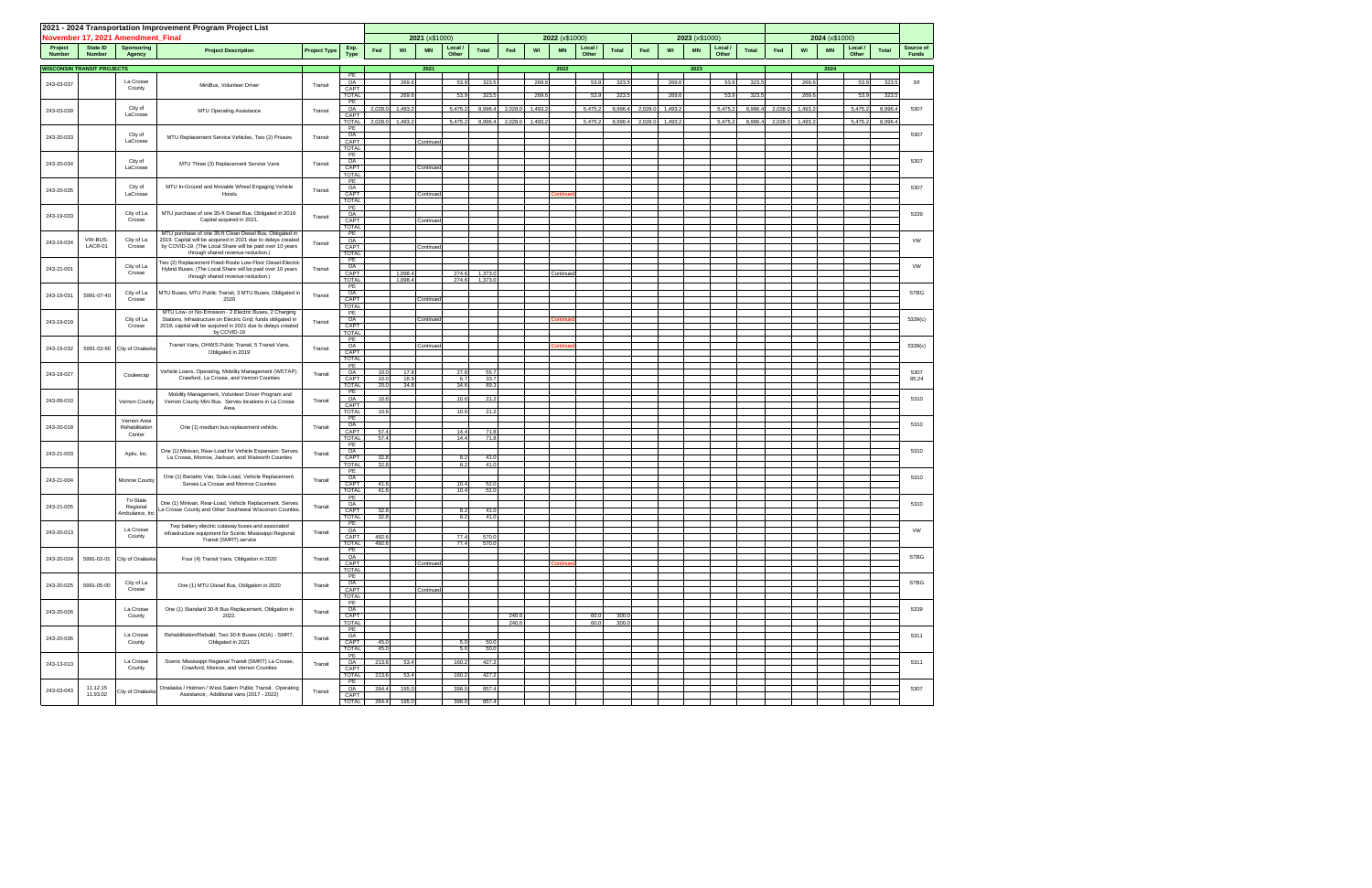|                          |                                   | November 17, 2021 Amendment Final | 2021 - 2024 Transportation Improvement Program Project List                                                                   |                     |                                   |                              | 2021 (x\$1000) |                  |                   |                |         | 2022 (x\$1000)  |                  |                |         |         | 2023 (x\$1000) |                  |              |         |         | 2024 (x\$1000) |                  |              |                           |
|--------------------------|-----------------------------------|-----------------------------------|-------------------------------------------------------------------------------------------------------------------------------|---------------------|-----------------------------------|------------------------------|----------------|------------------|-------------------|----------------|---------|-----------------|------------------|----------------|---------|---------|----------------|------------------|--------------|---------|---------|----------------|------------------|--------------|---------------------------|
| Project<br><b>Number</b> | State ID<br><b>Number</b>         | Sponsoring<br>Agency              | <b>Project Description</b>                                                                                                    | <b>Project Type</b> | Exp.<br><b>Type</b>               | WI<br>Fed                    | <b>MN</b>      | Local /<br>Other | <b>Total</b>      | Fed            | WI      | <b>MN</b>       | Local /<br>Other | <b>Total</b>   | Fed     | WI      | <b>MN</b>      | Local /<br>Other | <b>Total</b> | Fed     | WI      | <b>MN</b>      | Local /<br>Other | <b>Total</b> | Source of<br><b>Funds</b> |
|                          | <b>WISCONSIN TRANSIT PROJECTS</b> |                                   |                                                                                                                               |                     |                                   |                              | 2021           |                  |                   |                |         | 2022            |                  |                |         |         | 2023           |                  |              |         |         | 2024           |                  |              |                           |
| 243-03-037               |                                   | La Crosse                         |                                                                                                                               |                     | PE<br>OA                          | 269.6                        |                | 53.9             | 323.              |                | 269.6   |                 | 53.9             | 323.5          |         | 269.6   |                | 53.9             | 323.         |         | 269.6   |                | 53.9             | 323.5        | SF                        |
|                          |                                   | County                            | MiniBus, Volunteer Driver                                                                                                     | Transit             | CAPT<br><b>TOTAL</b>              | 269.6                        |                | 53.9             | 323.              |                | 269.6   |                 | 53.9             | 323.5          |         | 269.6   |                | 53.9             | 323.5        |         | 269.6   |                | 53.9             | 323.5        |                           |
| 243-03-039               |                                   | City of                           | MTU Operating Assistance                                                                                                      | Transit             | PE<br>OA                          | 2,028.0<br>1,493.2           |                | 5,475.2          | 8,996.4           | 2,028.0        | 1,493.2 |                 | 5,475.2          | 8,996.4        | 2,028.0 | 1,493.2 |                | 5,475.2          | 8,996.4      | 2,028.0 | 1,493.2 |                | 5,475.2          | 8,996.4      | 5307                      |
|                          |                                   | LaCrosse                          |                                                                                                                               |                     | CAPT<br><b>TOTAL</b>              | 2,028.0<br>1,493.2           |                | 5,475.2          | 8,996.4           | 2,028.0        | 1,493.2 |                 | 5,475.2          | 8,996.4        | 2,028.0 | 1,493.2 |                | 5,475.2          | 8,996.4      | 2,028.0 | 1,493.2 |                | 5,475.2          | 8,996.       |                           |
| 243-20-033               |                                   | City of<br>LaCrosse               | MTU Replacement Service Vehicles, Two (2) Priuses                                                                             | Transit             | PE<br>OA<br>CAPT                  |                              | Continued      |                  |                   |                |         |                 |                  |                |         |         |                |                  |              |         |         |                |                  |              | 5307                      |
|                          |                                   |                                   |                                                                                                                               |                     | <b>TOTAL</b><br>PE                |                              |                |                  |                   |                |         |                 |                  |                |         |         |                |                  |              |         |         |                |                  |              |                           |
| 243-20-034               |                                   | City of<br>LaCrosse               | MTU Three (3) Replacement Service Vans                                                                                        | Transit             | OA<br>CAPT                        |                              | Continued      |                  |                   |                |         |                 |                  |                |         |         |                |                  |              |         |         |                |                  |              | 5307                      |
|                          |                                   |                                   |                                                                                                                               |                     | <b>TOTAL</b><br>PE                |                              |                |                  |                   |                |         |                 |                  |                |         |         |                |                  |              |         |         |                |                  |              |                           |
| 243-20-035               |                                   | City of<br>LaCrosse               | MTU In-Ground and Movable Wheel Engaging Vehicle<br>Hoists                                                                    | Transit             | OA<br>CAPT                        |                              | Continued      |                  |                   |                |         | <b>Continue</b> |                  |                |         |         |                |                  |              |         |         |                |                  |              | 5307                      |
|                          |                                   |                                   |                                                                                                                               |                     | <b>TOTAL</b><br>PE                |                              |                |                  |                   |                |         |                 |                  |                |         |         |                |                  |              |         |         |                |                  |              |                           |
| 243-19-033               |                                   | City of La<br>Crosse              | MTU purchase of one 35-ft Diesel Bus. Obligated in 2019.<br>Capital acquired in 2021.                                         | Transit             | OA<br>CAPT<br>TOTAL               |                              | Continued      |                  |                   |                |         |                 |                  |                |         |         |                |                  |              |         |         |                |                  |              | 5339                      |
|                          | VW-BUS-                           | City of La                        | MTU purchase of one 35-ft Clean Diesel Bus. Obligated in<br>2019. Capital will be acquired in 2021 due to delays created      |                     | PE<br>OA                          |                              |                |                  |                   |                |         |                 |                  |                |         |         |                |                  |              |         |         |                |                  |              | VW                        |
| 243-19-034               | LACR-01                           | Crosse                            | by COVID-19. (The Local Share will be paid over 10 years<br>through shared revenue reduction.)                                | Transit             | CAPT<br><b>TOTAL</b>              |                              | Continued      |                  |                   |                |         |                 |                  |                |         |         |                |                  |              |         |         |                |                  |              |                           |
| 243-21-001               |                                   | City of La                        | wo (2) Replacement Fixed-Route Low-Floor Diesel-Electric<br>Hybrid Buses. (The Local Share will be paid over 10 years         | Transit             | PE<br>OA                          |                              |                |                  |                   |                |         |                 |                  |                |         |         |                |                  |              |         |         |                |                  |              | VW                        |
|                          |                                   | Crosse                            | through shared revenue reduction.)                                                                                            |                     | CAPT<br><b>TOTAL</b>              | 1,098.4<br>1,098.4           |                | 274.6<br>274.6   | 1,373.<br>1,373.0 |                |         | Continued       |                  |                |         |         |                |                  |              |         |         |                |                  |              |                           |
| 243-19-031               | 5991-07-40                        | City of La                        | MTU Buses, MTU Public Transit, 3 MTU Buses, Obligated in                                                                      | Transit             | PE<br>OA                          |                              |                |                  |                   |                |         |                 |                  |                |         |         |                |                  |              |         |         |                |                  |              | <b>STBG</b>               |
|                          |                                   | Crosse                            | 2020<br>MTU Low- or No-Emission - 2 Electric Buses, 2 Charging                                                                |                     | CAPT<br>TOTAL                     |                              | Continued      |                  |                   |                |         |                 |                  |                |         |         |                |                  |              |         |         |                |                  |              |                           |
| 243-19-019               |                                   | City of La<br>Crosse              | Stations, Infrastructure on Electric Grid; funds obligated in<br>2019; capital will be acquired in 2021 due to delays created | Transit             | PE<br>OA<br>CAPT                  |                              | Continued      |                  |                   |                |         | <b>Continue</b> |                  |                |         |         |                |                  |              |         |         |                |                  |              | 5339(c)                   |
|                          |                                   |                                   | by COVID-19                                                                                                                   |                     | <b>TOTAL</b><br>PE                |                              |                |                  |                   |                |         |                 |                  |                |         |         |                |                  |              |         |         |                |                  |              |                           |
| 243-19-032               | 5991-02-60                        | City of Onalaska                  | Transit Vans, OHWS Public Transit, 5 Transit Vans,<br>Obligated in 2019                                                       | Transit             | OA<br>CAPT                        |                              | Continued      |                  |                   |                |         | <b>Continue</b> |                  |                |         |         |                |                  |              |         |         |                |                  |              | 5339(c)                   |
|                          |                                   |                                   |                                                                                                                               |                     | <b>TOTAL</b><br>PE                |                              |                |                  |                   |                |         |                 |                  |                |         |         |                |                  |              |         |         |                |                  |              |                           |
| 243-18-027               |                                   | Couleecap                         | Vehicle Loans, Operating, Mobility Management (WETAP).<br>Crawford, La Crosse, and Vernon Counties                            | Transit             | OA<br>CAPT                        | 17.8<br>10.0<br>10.0<br>16.9 |                | 27.8<br>6.7      | 55.7<br>33.7      |                |         |                 |                  |                |         |         |                |                  |              |         |         |                |                  |              | 5307<br>85.24             |
|                          |                                   |                                   | Mobility Management, Volunteer Driver Program and                                                                             |                     | <b>TOTAL</b><br>PE                | 34.8<br>20.0                 |                | 34.6             | 89.3              |                |         |                 |                  |                |         |         |                |                  |              |         |         |                |                  |              |                           |
| 243-09-010               |                                   | Vernon County                     | Vernon County Mini Bus. Serves locations in La Crosse<br>Area                                                                 | Transit             | OA<br>CAPT<br><b>TOTAL</b>        | 10.6<br>10.6                 |                | 10.6<br>10.6     | 21.2<br>21.2      |                |         |                 |                  |                |         |         |                |                  |              |         |         |                |                  |              | 5310                      |
|                          |                                   | Vernon Area                       |                                                                                                                               |                     | PE<br>OA                          |                              |                |                  |                   |                |         |                 |                  |                |         |         |                |                  |              |         |         |                |                  |              | 5310                      |
| 243-20-018               |                                   | Rehabilitation<br>Center          | One (1) medium bus replacement vehicle.                                                                                       | Transit             | CAPT<br><b>TOTAL</b>              | 57.4<br>57.4                 |                | 14.4<br>14.4     | 71.8<br>71.8      |                |         |                 |                  |                |         |         |                |                  |              |         |         |                |                  |              |                           |
| 243-21-003               |                                   | Aptiv, Inc.                       | One (1) Minivan, Rear-Load for Vehicle Expansion. Serves                                                                      | Transit             | PE<br>OA                          |                              |                |                  |                   |                |         |                 |                  |                |         |         |                |                  |              |         |         |                |                  |              | 5310                      |
|                          |                                   |                                   | La Crosse, Monroe, Jackson, and Walworth Counties                                                                             |                     | CAPT<br><b>TOTAL</b>              | 32.8<br>32.8                 |                | 8.2<br>8.2       | 41.0<br>41.0      |                |         |                 |                  |                |         |         |                |                  |              |         |         |                |                  |              |                           |
| 243-21-004               |                                   | Monroe County                     | One (1) Bariatric Van, Side-Load, Vehicle Replacement.                                                                        | Transit             | PE<br>OA                          |                              |                |                  |                   |                |         |                 |                  |                |         |         |                |                  |              |         |         |                |                  |              | 5310                      |
|                          |                                   |                                   | Serves La Crosse and Monroe Counties                                                                                          |                     | CAPT<br><b>TOTAL</b>              | 41.6<br>41.6                 |                | 10.4<br>10.4     | 52.0<br>52.0      |                |         |                 |                  |                |         |         |                |                  |              |         |         |                |                  |              |                           |
| 243-21-005               |                                   | Tri-State<br>Regional             | One (1) Minivan, Rear-Load, Vehicle Replacement. Serves<br>La Crosse County and Other Southwest Wisconsin Counties.           | Transit             | PE<br>OA<br>CAPT                  | 32.8                         |                | 8.2              | 41.0              |                |         |                 |                  |                |         |         |                |                  |              |         |         |                |                  |              | 5310                      |
|                          |                                   | Ambulance, Inc                    |                                                                                                                               |                     | <b>TOTAL</b><br>PE                | 32.8                         |                | 8.2              | 41.0              |                |         |                 |                  |                |         |         |                |                  |              |         |         |                |                  |              |                           |
| 243-20-013               |                                   | La Crosse<br>County               | Twp battery electric cutaway buses and associated<br>infrastructure equipment for Scenic Mississippi Regional                 | Transit             | OA<br>CAPT                        | 492.6                        |                | 77.4             | 570.0             |                |         |                 |                  |                |         |         |                |                  |              |         |         |                |                  |              | VW                        |
|                          |                                   |                                   | Transit (SMRT) service                                                                                                        |                     | <b>TOTAL</b><br>PE                | 492.6                        |                | 77.4             | 570.0             |                |         |                 |                  |                |         |         |                |                  |              |         |         |                |                  |              |                           |
| 243-20-024               | 5991-02-01                        | City of Onalaska                  | Four (4) Transit Vans, Obligation in 2020                                                                                     | Transit             | OA<br>CAPT                        |                              | Continued      |                  |                   |                |         | ontinue         |                  |                |         |         |                |                  |              |         |         |                |                  |              | <b>STBG</b>               |
|                          |                                   |                                   |                                                                                                                               |                     | TOTAL<br>PE                       |                              |                |                  |                   |                |         |                 |                  |                |         |         |                |                  |              |         |         |                |                  |              |                           |
| 243-20-025               | 5991-05-00                        | City of La<br>Crosse              | One (1) MTU Diesel Bus, Obligation in 2020                                                                                    | Transit             | OA<br>CAPT<br><b>TOTAL</b>        |                              | Continued      |                  |                   |                |         |                 |                  |                |         |         |                |                  |              |         |         |                |                  |              | <b>STBG</b>               |
|                          |                                   | La Crosse                         | One (1) Standard 30-ft Bus Replacement, Obligation in                                                                         |                     | PE                                |                              |                |                  |                   |                |         |                 |                  |                |         |         |                |                  |              |         |         |                |                  |              | 5339                      |
| 243-20-026               |                                   | County                            | 2022.                                                                                                                         | Transit             | $\frac{OA}{CAPT}$<br><b>TOTAL</b> |                              |                |                  |                   | 240.0<br>240.0 |         |                 | 60.0<br>60.0     | 300.0<br>300.0 |         |         |                |                  |              |         |         |                |                  |              |                           |
| 243-20-036               |                                   | La Crosse                         | Rehabilitation/Rebuild, Two 30-ft Buses (ADA) - SMRT,                                                                         | Transit             | PE<br>OA                          |                              |                |                  |                   |                |         |                 |                  |                |         |         |                |                  |              |         |         |                |                  |              | 5311                      |
|                          |                                   | County                            | Obligated in 2021                                                                                                             |                     | CAPT<br><b>TOTAL</b>              | 45.0<br>45.0                 |                | 5.0<br>5.0       | 50.0<br>50.0      |                |         |                 |                  |                |         |         |                |                  |              |         |         |                |                  |              |                           |
| 243-13-013               |                                   | La Crosse                         | Scenic Mississippi Regional Transit (SMRT) La Crosse,                                                                         | Transit             | PE<br>OA                          | 213.6<br>53.4                |                | 160.2            | 427.2             |                |         |                 |                  |                |         |         |                |                  |              |         |         |                |                  |              | 5311                      |
|                          |                                   | County                            | Crawford, Monroe, and Vernon Counties                                                                                         |                     | CAPT<br><b>TOTAL</b>              | 213.6<br>53.4                |                | 160.2            | 427.2             |                |         |                 |                  |                |         |         |                |                  |              |         |         |                |                  |              |                           |
| 243-03-043               | 11.12.15<br>11.93.02              | City of Onalaska                  | Onalaska / Holmen / West Salem Public Transit. Operating<br>Assistance, Additional vans (2017 - 2022)                         | Transit             | PE<br>OA                          | 264.4<br>195.0               |                | 398.0            | 857.4             |                |         |                 |                  |                |         |         |                |                  |              |         |         |                |                  |              | 5307                      |
|                          |                                   |                                   |                                                                                                                               |                     | CAPT<br><b>TOTAL</b>              | 195.0<br>264.4               |                | 398.0            | 857.4             |                |         |                 |                  |                |         |         |                |                  |              |         |         |                |                  |              |                           |